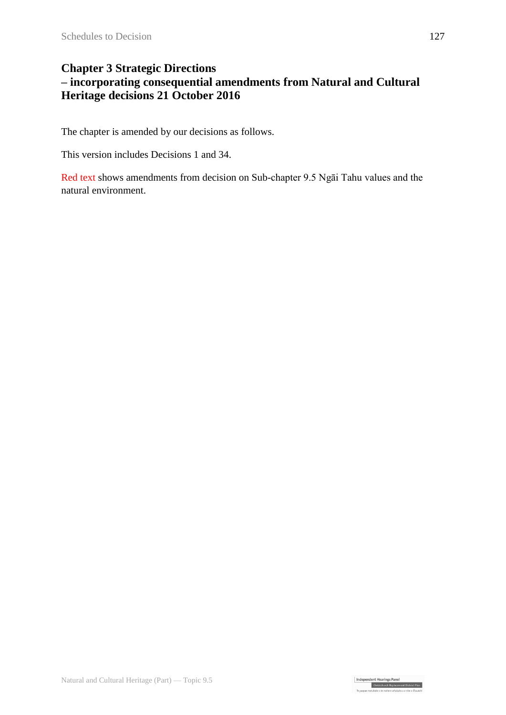#### **Chapter 3 Strategic Directions – incorporating consequential amendments from Natural and Cultural Heritage decisions 21 October 2016**

The chapter is amended by our decisions as follows.

This version includes Decisions 1 and 34.

Red text shows amendments from decision on Sub-chapter 9.5 Ngāi Tahu values and the natural environment.

Independent Hearings Panel<br>Christchurch Replacement District Plan<br>To open gradulate of a galaxy philology a sphe a Chryst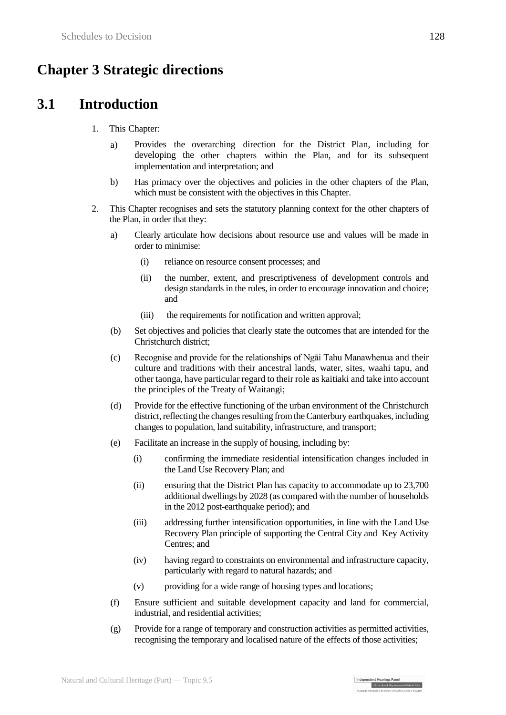# **Chapter 3 Strategic directions**

# **3.1 Introduction**

- 1. This Chapter:
	- a) Provides the overarching direction for the District Plan, including for developing the other chapters within the Plan, and for its subsequent implementation and interpretation; and
	- b) Has primacy over the objectives and policies in the other chapters of the Plan, which must be consistent with the objectives in this Chapter.
- 2. This Chapter recognises and sets the statutory planning context for the other chapters of the Plan, in order that they:
	- a) Clearly articulate how decisions about resource use and values will be made in order to minimise:
		- (i) reliance on resource consent processes; and
		- (ii) the number, extent, and prescriptiveness of development controls and design standards in the rules, in order to encourage innovation and choice; and
		- (iii) the requirements for notification and written approval;
	- (b) Set objectives and policies that clearly state the outcomes that are intended for the Christchurch district;
	- (c) Recognise and provide for the relationships of Ngāi Tahu Manawhenua and their culture and traditions with their ancestral lands, water, sites, waahi tapu, and other taonga, have particular regard to their role as kaitiaki and take into account the principles of the Treaty of Waitangi;
	- (d) Provide for the effective functioning of the urban environment of the Christchurch district, reflecting the changes resulting from the Canterbury earthquakes, including changes to population, land suitability, infrastructure, and transport;
	- (e) Facilitate an increase in the supply of housing, including by:
		- (i) confirming the immediate residential intensification changes included in the Land Use Recovery Plan; and
		- (ii) ensuring that the District Plan has capacity to accommodate up to 23,700 additional dwellings by 2028 (as compared with the number of households in the 2012 post-earthquake period); and
		- (iii) addressing further intensification opportunities, in line with the Land Use Recovery Plan principle of supporting the Central City and Key Activity Centres; and
		- (iv) having regard to constraints on environmental and infrastructure capacity, particularly with regard to natural hazards; and
		- (v) providing for a wide range of housing types and locations;
	- (f) Ensure sufficient and suitable development capacity and land for commercial, industrial, and residential activities;
	- (g) Provide for a range of temporary and construction activities as permitted activities, recognising the temporary and localised nature of the effects of those activities;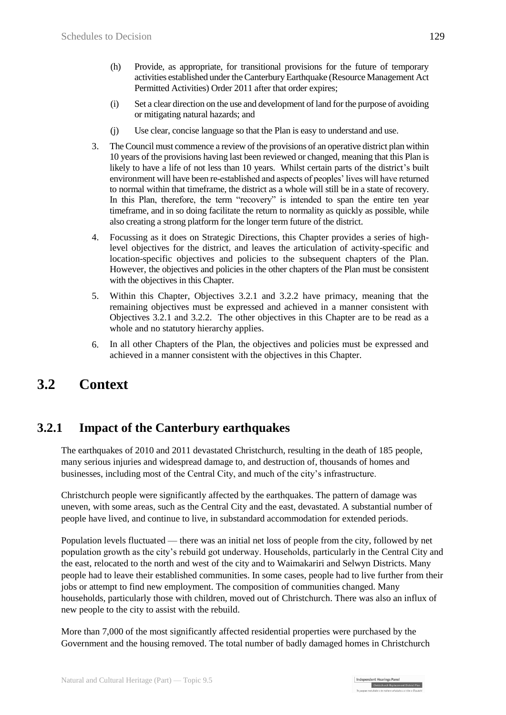- (h) Provide, as appropriate, for transitional provisions for the future of temporary activities established under the Canterbury Earthquake (Resource Management Act Permitted Activities) Order 2011 after that order expires;
- (i) Set a clear direction on the use and development of land for the purpose of avoiding or mitigating natural hazards; and
- (j) Use clear, concise language so that the Plan is easy to understand and use.
- 3. The Council must commence a review of the provisions of an operative district plan within 10 years of the provisions having last been reviewed or changed, meaning that this Plan is likely to have a life of not less than 10 years. Whilst certain parts of the district's built environment will have been re-established and aspects of peoples' lives will have returned to normal within that timeframe, the district as a whole will still be in a state of recovery. In this Plan, therefore, the term "recovery" is intended to span the entire ten year timeframe, and in so doing facilitate the return to normality as quickly as possible, while also creating a strong platform for the longer term future of the district.
- 4. Focussing as it does on Strategic Directions, this Chapter provides a series of highlevel objectives for the district, and leaves the articulation of activity-specific and location-specific objectives and policies to the subsequent chapters of the Plan. However, the objectives and policies in the other chapters of the Plan must be consistent with the objectives in this Chapter.
- 5. Within this Chapter, Objectives 3.2.1 and 3.2.2 have primacy, meaning that the remaining objectives must be expressed and achieved in a manner consistent with Objectives 3.2.1 and 3.2.2. The other objectives in this Chapter are to be read as a whole and no statutory hierarchy applies.
- 6. In all other Chapters of the Plan, the objectives and policies must be expressed and achieved in a manner consistent with the objectives in this Chapter.

# **3.2 Context**

#### **3.2.1 Impact of the Canterbury earthquakes**

The earthquakes of 2010 and 2011 devastated Christchurch, resulting in the death of 185 people, many serious injuries and widespread damage to, and destruction of, thousands of homes and businesses, including most of the Central City, and much of the city's infrastructure.

Christchurch people were significantly affected by the earthquakes. The pattern of damage was uneven, with some areas, such as the Central City and the east, devastated. A substantial number of people have lived, and continue to live, in substandard accommodation for extended periods.

Population levels fluctuated — there was an initial net loss of people from the city, followed by net population growth as the city's rebuild got underway. Households, particularly in the Central City and the east, relocated to the north and west of the city and to Waimakariri and Selwyn Districts. Many people had to leave their established communities. In some cases, people had to live further from their jobs or attempt to find new employment. The composition of communities changed. Many households, particularly those with children, moved out of Christchurch. There was also an influx of new people to the city to assist with the rebuild.

More than 7,000 of the most significantly affected residential properties were purchased by the Government and the housing removed. The total number of badly damaged homes in Christchurch

| Independent Hearings Pane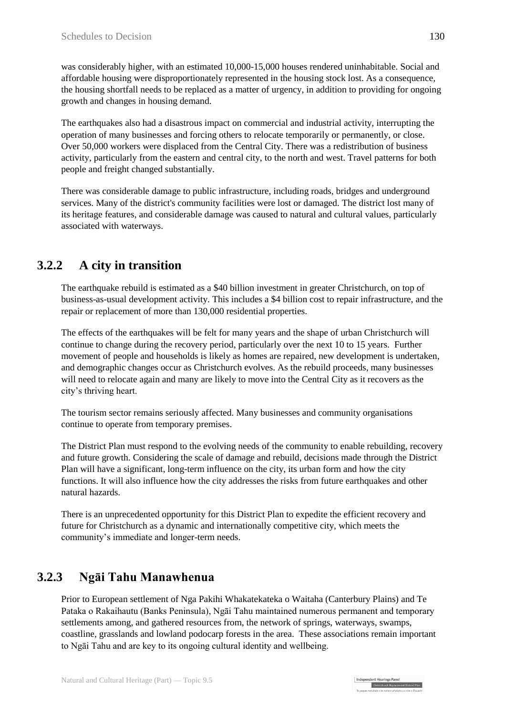was considerably higher, with an estimated 10,000-15,000 houses rendered uninhabitable. Social and affordable housing were disproportionately represented in the housing stock lost. As a consequence, the housing shortfall needs to be replaced as a matter of urgency, in addition to providing for ongoing growth and changes in housing demand.

The earthquakes also had a disastrous impact on commercial and industrial activity, interrupting the operation of many businesses and forcing others to relocate temporarily or permanently, or close. Over 50,000 workers were displaced from the Central City. There was a redistribution of business activity, particularly from the eastern and central city, to the north and west. Travel patterns for both people and freight changed substantially.

There was considerable damage to public infrastructure, including roads, bridges and underground services. Many of the district's community facilities were lost or damaged. The district lost many of its heritage features, and considerable damage was caused to natural and cultural values, particularly associated with waterways.

# **3.2.2 A city in transition**

The earthquake rebuild is estimated as a \$40 billion investment in greater Christchurch, on top of business-as-usual development activity. This includes a \$4 billion cost to repair infrastructure, and the repair or replacement of more than 130,000 residential properties.

The effects of the earthquakes will be felt for many years and the shape of urban Christchurch will continue to change during the recovery period, particularly over the next 10 to 15 years. Further movement of people and households is likely as homes are repaired, new development is undertaken, and demographic changes occur as Christchurch evolves. As the rebuild proceeds, many businesses will need to relocate again and many are likely to move into the Central City as it recovers as the city's thriving heart.

The tourism sector remains seriously affected. Many businesses and community organisations continue to operate from temporary premises.

The District Plan must respond to the evolving needs of the community to enable rebuilding, recovery and future growth. Considering the scale of damage and rebuild, decisions made through the District Plan will have a significant, long-term influence on the city, its urban form and how the city functions. It will also influence how the city addresses the risks from future earthquakes and other natural hazards.

There is an unprecedented opportunity for this District Plan to expedite the efficient recovery and future for Christchurch as a dynamic and internationally competitive city, which meets the community's immediate and longer-term needs.

# **3.2.3 Ngāi Tahu Manawhenua**

Prior to European settlement of Nga Pakihi Whakatekateka o Waitaha (Canterbury Plains) and Te Pataka o Rakaihautu (Banks Peninsula), Ngāi Tahu maintained numerous permanent and temporary settlements among, and gathered resources from, the network of springs, waterways, swamps, coastline, grasslands and lowland podocarp forests in the area. These associations remain important to Ngāi Tahu and are key to its ongoing cultural identity and wellbeing.

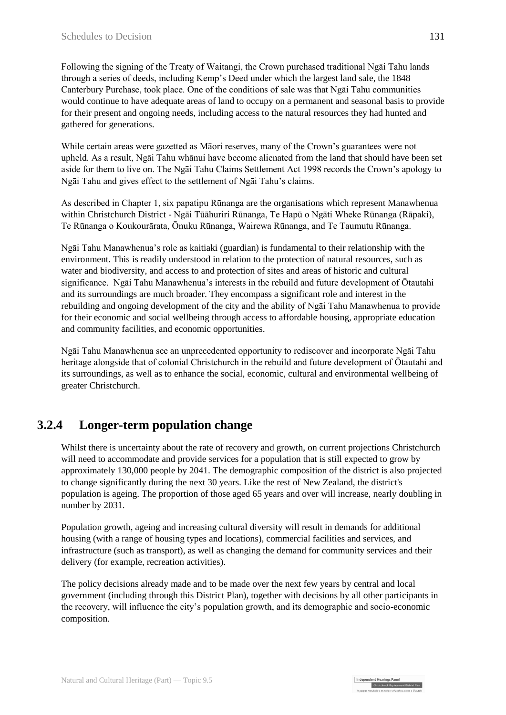Following the signing of the Treaty of Waitangi, the Crown purchased traditional Ngāi Tahu lands through a series of deeds, including Kemp's Deed under which the largest land sale, the 1848 Canterbury Purchase, took place. One of the conditions of sale was that Ngāi Tahu communities would continue to have adequate areas of land to occupy on a permanent and seasonal basis to provide for their present and ongoing needs, including access to the natural resources they had hunted and gathered for generations.

While certain areas were gazetted as Māori reserves, many of the Crown's guarantees were not upheld. As a result, Ngāi Tahu whānui have become alienated from the land that should have been set aside for them to live on. The Ngāi Tahu Claims Settlement Act 1998 records the Crown's apology to Ngāi Tahu and gives effect to the settlement of Ngāi Tahu's claims.

As described in Chapter 1, six papatipu Rūnanga are the organisations which represent Manawhenua within Christchurch District - Ngāi Tūāhuriri Rūnanga, Te Hapū o Ngāti Wheke Rūnanga (Rāpaki), Te Rūnanga o Koukourārata, Ōnuku Rūnanga, Wairewa Rūnanga, and Te Taumutu Rūnanga.

Ngāi Tahu Manawhenua's role as kaitiaki (guardian) is fundamental to their relationship with the environment. This is readily understood in relation to the protection of natural resources, such as water and biodiversity, and access to and protection of sites and areas of historic and cultural significance. Ngāi Tahu Manawhenua's interests in the rebuild and future development of Ōtautahi and its surroundings are much broader. They encompass a significant role and interest in the rebuilding and ongoing development of the city and the ability of Ngāi Tahu Manawhenua to provide for their economic and social wellbeing through access to affordable housing, appropriate education and community facilities, and economic opportunities.

Ngāi Tahu Manawhenua see an unprecedented opportunity to rediscover and incorporate Ngāi Tahu heritage alongside that of colonial Christchurch in the rebuild and future development of Ōtautahi and its surroundings, as well as to enhance the social, economic, cultural and environmental wellbeing of greater Christchurch.

# **3.2.4 Longer-term population change**

Whilst there is uncertainty about the rate of recovery and growth, on current projections Christchurch will need to accommodate and provide services for a population that is still expected to grow by approximately 130,000 people by 2041. The demographic composition of the district is also projected to change significantly during the next 30 years. Like the rest of New Zealand, the district's population is ageing. The proportion of those aged 65 years and over will increase, nearly doubling in number by 2031.

Population growth, ageing and increasing cultural diversity will result in demands for additional housing (with a range of housing types and locations), commercial facilities and services, and infrastructure (such as transport), as well as changing the demand for community services and their delivery (for example, recreation activities).

The policy decisions already made and to be made over the next few years by central and local government (including through this District Plan), together with decisions by all other participants in the recovery, will influence the city's population growth, and its demographic and socio-economic composition.

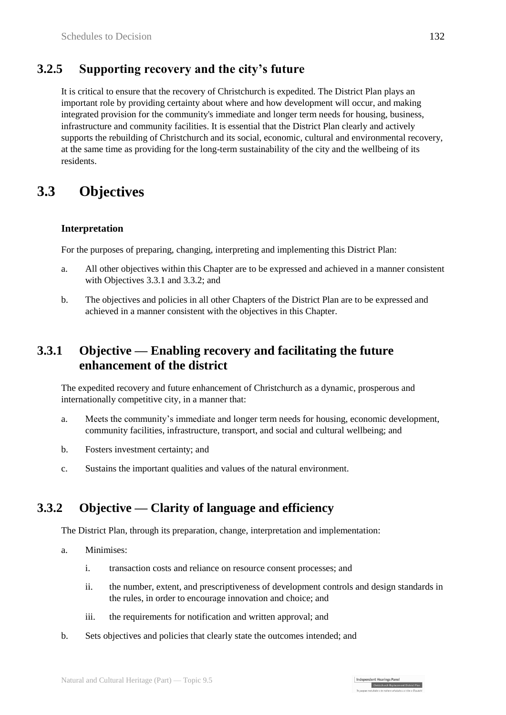# **3.2.5 Supporting recovery and the city's future**

It is critical to ensure that the recovery of Christchurch is expedited. The District Plan plays an important role by providing certainty about where and how development will occur, and making integrated provision for the community's immediate and longer term needs for housing, business, infrastructure and community facilities. It is essential that the District Plan clearly and actively supports the rebuilding of Christchurch and its social, economic, cultural and environmental recovery, at the same time as providing for the long-term sustainability of the city and the wellbeing of its residents.

# **3.3 Objectives**

#### **Interpretation**

For the purposes of preparing, changing, interpreting and implementing this District Plan:

- a. All other objectives within this Chapter are to be expressed and achieved in a manner consistent with Objectives 3.3.1 and 3.3.2; and
- b. The objectives and policies in all other Chapters of the District Plan are to be expressed and achieved in a manner consistent with the objectives in this Chapter.

# **3.3.1 Objective — Enabling recovery and facilitating the future enhancement of the district**

The expedited recovery and future enhancement of Christchurch as a dynamic, prosperous and internationally competitive city, in a manner that:

- a. Meets the community's immediate and longer term needs for housing, economic development, community facilities, infrastructure, transport, and social and cultural wellbeing; and
- b. Fosters investment certainty; and
- c. Sustains the important qualities and values of the natural environment.

#### **3.3.2 Objective — Clarity of language and efficiency**

The District Plan, through its preparation, change, interpretation and implementation:

- a. Minimises:
	- i. transaction costs and reliance on resource consent processes; and
	- ii. the number, extent, and prescriptiveness of development controls and design standards in the rules, in order to encourage innovation and choice; and
	- iii. the requirements for notification and written approval; and
- b. Sets objectives and policies that clearly state the outcomes intended; and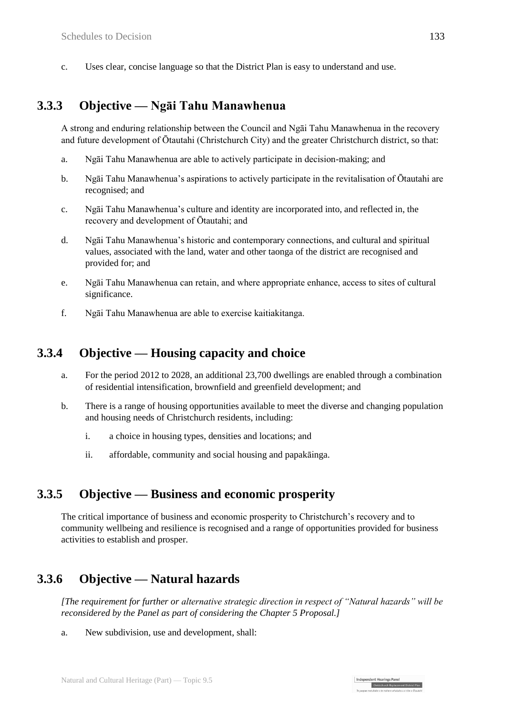c. Uses clear, concise language so that the District Plan is easy to understand and use.

# **3.3.3 Objective — Ngāi Tahu Manawhenua**

A strong and enduring relationship between the Council and Ngāi Tahu Manawhenua in the recovery and future development of Ōtautahi (Christchurch City) and the greater Christchurch district, so that:

- a. Ngāi Tahu Manawhenua are able to actively participate in decision-making; and
- b. Ngāi Tahu Manawhenua's aspirations to actively participate in the revitalisation of Ōtautahi are recognised; and
- c. Ngāi Tahu Manawhenua's culture and identity are incorporated into, and reflected in, the recovery and development of Ōtautahi; and
- d. Ngāi Tahu Manawhenua's historic and contemporary connections, and cultural and spiritual values, associated with the land, water and other taonga of the district are recognised and provided for; and
- e. Ngāi Tahu Manawhenua can retain, and where appropriate enhance, access to sites of cultural significance.
- f. Ngāi Tahu Manawhenua are able to exercise kaitiakitanga.

#### **3.3.4 Objective — Housing capacity and choice**

- a. For the period 2012 to 2028, an additional 23,700 dwellings are enabled through a combination of residential intensification, brownfield and greenfield development; and
- b. There is a range of housing opportunities available to meet the diverse and changing population and housing needs of Christchurch residents, including:
	- i. a choice in housing types, densities and locations; and
	- ii. affordable, community and social housing and papakāinga.

#### **3.3.5 Objective — Business and economic prosperity**

The critical importance of business and economic prosperity to Christchurch's recovery and to community wellbeing and resilience is recognised and a range of opportunities provided for business activities to establish and prosper.

# **3.3.6 Objective — Natural hazards**

*[The requirement for further or alternative strategic direction in respect of "Natural hazards" will be reconsidered by the Panel as part of considering the Chapter 5 Proposal.]*

Independent Hearings Panel

Christchurch Replacement District Plan

a. New subdivision, use and development, shall: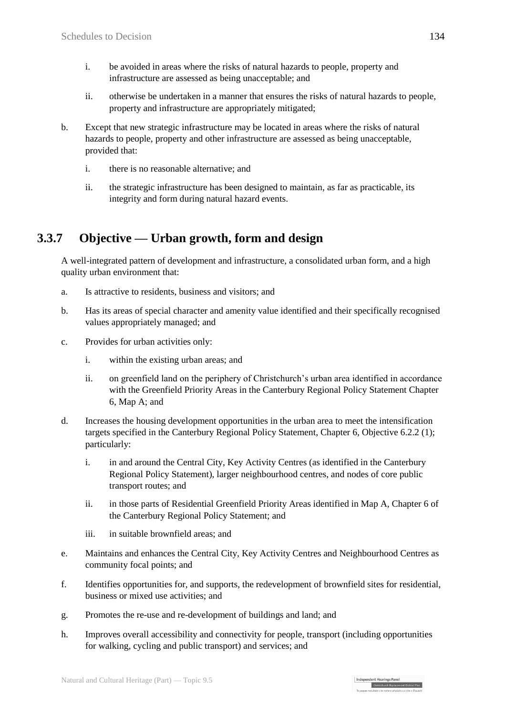- i. be avoided in areas where the risks of natural hazards to people, property and infrastructure are assessed as being unacceptable; and
- ii. otherwise be undertaken in a manner that ensures the risks of natural hazards to people, property and infrastructure are appropriately mitigated;
- b. Except that new strategic infrastructure may be located in areas where the risks of natural hazards to people, property and other infrastructure are assessed as being unacceptable, provided that:
	- i. there is no reasonable alternative; and
	- ii. the strategic infrastructure has been designed to maintain, as far as practicable, its integrity and form during natural hazard events.

# **3.3.7 Objective — Urban growth, form and design**

A well-integrated pattern of development and infrastructure, a consolidated urban form, and a high quality urban environment that:

- a. Is attractive to residents, business and visitors; and
- b. Has its areas of special character and amenity value identified and their specifically recognised values appropriately managed; and
- c. Provides for urban activities only:
	- i. within the existing urban areas; and
	- ii. on greenfield land on the periphery of Christchurch's urban area identified in accordance with the Greenfield Priority Areas in the Canterbury Regional Policy Statement Chapter 6, Map A; and
- d. Increases the housing development opportunities in the urban area to meet the intensification targets specified in the Canterbury Regional Policy Statement, Chapter 6, Objective 6.2.2 (1); particularly:
	- i. in and around the Central City, Key Activity Centres (as identified in the Canterbury Regional Policy Statement), larger neighbourhood centres, and nodes of core public transport routes; and
	- ii. in those parts of Residential Greenfield Priority Areas identified in Map A, Chapter 6 of the Canterbury Regional Policy Statement; and
	- iii. in suitable brownfield areas; and
- e. Maintains and enhances the Central City, Key Activity Centres and Neighbourhood Centres as community focal points; and
- f. Identifies opportunities for, and supports, the redevelopment of brownfield sites for residential, business or mixed use activities; and
- g. Promotes the re-use and re-development of buildings and land; and
- h. Improves overall accessibility and connectivity for people, transport (including opportunities for walking, cycling and public transport) and services; and

| Independent Hearings Pane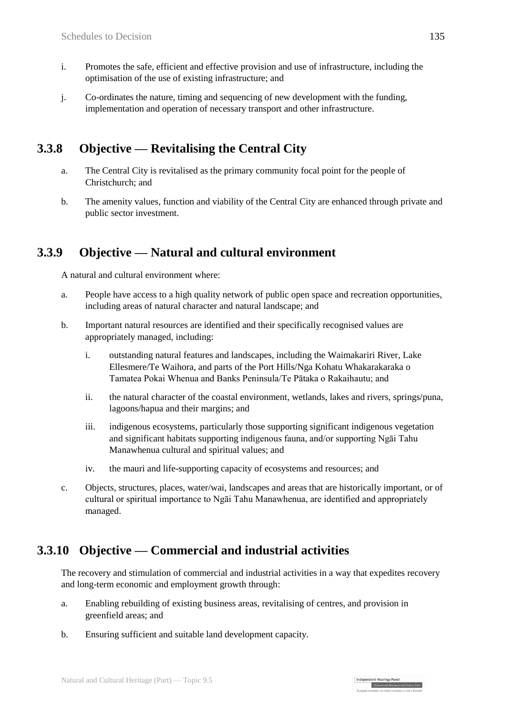- i. Promotes the safe, efficient and effective provision and use of infrastructure, including the optimisation of the use of existing infrastructure; and
- j. Co-ordinates the nature, timing and sequencing of new development with the funding, implementation and operation of necessary transport and other infrastructure.

### **3.3.8 Objective — Revitalising the Central City**

- a. The Central City is revitalised as the primary community focal point for the people of Christchurch; and
- b. The amenity values, function and viability of the Central City are enhanced through private and public sector investment.

# **3.3.9 Objective — Natural and cultural environment**

A natural and cultural environment where:

- a. People have access to a high quality network of public open space and recreation opportunities, including areas of natural character and natural landscape; and
- b. Important natural resources are identified and their specifically recognised values are appropriately managed, including:
	- i. outstanding natural features and landscapes, including the Waimakariri River, Lake Ellesmere/Te Waihora, and parts of the Port Hills/Nga Kohatu Whakarakaraka o Tamatea Pokai Whenua and Banks Peninsula/Te Pātaka o Rakaihautu; and
	- ii. the natural character of the coastal environment, wetlands, lakes and rivers, springs/puna, lagoons/hapua and their margins; and
	- iii. indigenous ecosystems, particularly those supporting significant indigenous vegetation and significant habitats supporting indigenous fauna, and/or supporting Ngāi Tahu Manawhenua cultural and spiritual values; and
	- iv. the mauri and life-supporting capacity of ecosystems and resources; and
- c. Objects, structures, places, water/wai, landscapes and areas that are historically important, or of cultural or spiritual importance to Ngāi Tahu Manawhenua, are identified and appropriately managed.

# **3.3.10 Objective — Commercial and industrial activities**

The recovery and stimulation of commercial and industrial activities in a way that expedites recovery and long-term economic and employment growth through:

Independent Hearings Panel

- a. Enabling rebuilding of existing business areas, revitalising of centres, and provision in greenfield areas; and
- b. Ensuring sufficient and suitable land development capacity.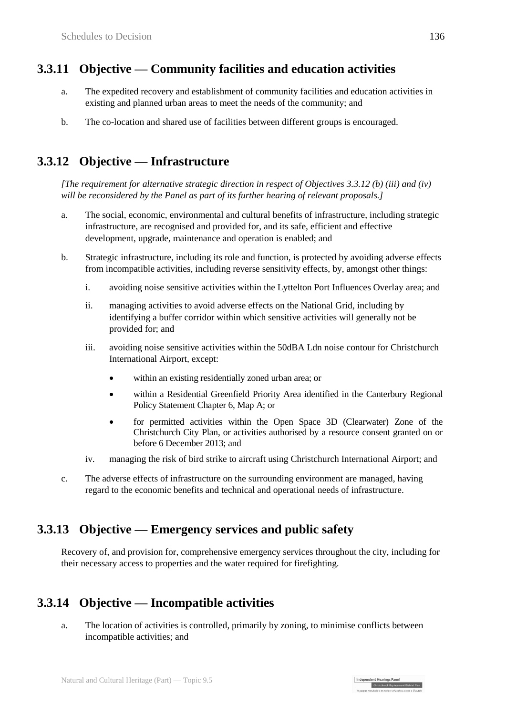# **3.3.11 Objective — Community facilities and education activities**

- a. The expedited recovery and establishment of community facilities and education activities in existing and planned urban areas to meet the needs of the community; and
- b. The co-location and shared use of facilities between different groups is encouraged.

# **3.3.12 Objective — Infrastructure**

*[The requirement for alternative strategic direction in respect of Objectives 3.3.12 (b) (iii) and (iv) will be reconsidered by the Panel as part of its further hearing of relevant proposals.]*

- a. The social, economic, environmental and cultural benefits of infrastructure, including strategic infrastructure, are recognised and provided for, and its safe, efficient and effective development, upgrade, maintenance and operation is enabled; and
- b. Strategic infrastructure, including its role and function, is protected by avoiding adverse effects from incompatible activities, including reverse sensitivity effects, by, amongst other things:
	- i. avoiding noise sensitive activities within the Lyttelton Port Influences Overlay area; and
	- ii. managing activities to avoid adverse effects on the National Grid, including by identifying a buffer corridor within which sensitive activities will generally not be provided for; and
	- iii. avoiding noise sensitive activities within the 50dBA Ldn noise contour for Christchurch International Airport, except:
		- within an existing residentially zoned urban area; or
		- within a Residential Greenfield Priority Area identified in the Canterbury Regional Policy Statement Chapter 6, Map A; or
		- for permitted activities within the Open Space 3D (Clearwater) Zone of the Christchurch City Plan, or activities authorised by a resource consent granted on or before 6 December 2013; and
	- iv. managing the risk of bird strike to aircraft using Christchurch International Airport; and
- c. The adverse effects of infrastructure on the surrounding environment are managed, having regard to the economic benefits and technical and operational needs of infrastructure.

#### **3.3.13 Objective — Emergency services and public safety**

Recovery of, and provision for, comprehensive emergency services throughout the city, including for their necessary access to properties and the water required for firefighting.

# **3.3.14 Objective — Incompatible activities**

a. The location of activities is controlled, primarily by zoning, to minimise conflicts between incompatible activities; and

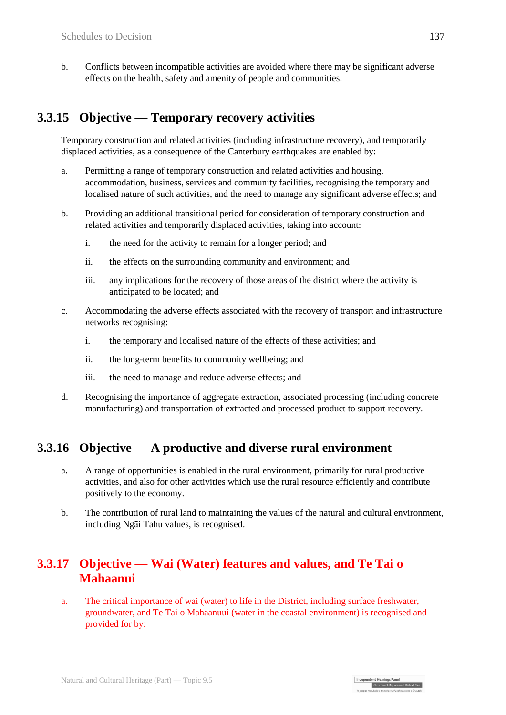b. Conflicts between incompatible activities are avoided where there may be significant adverse effects on the health, safety and amenity of people and communities.

# **3.3.15 Objective — Temporary recovery activities**

Temporary construction and related activities (including infrastructure recovery), and temporarily displaced activities, as a consequence of the Canterbury earthquakes are enabled by:

- a. Permitting a range of temporary construction and related activities and housing, accommodation, business, services and community facilities, recognising the temporary and localised nature of such activities, and the need to manage any significant adverse effects; and
- b. Providing an additional transitional period for consideration of temporary construction and related activities and temporarily displaced activities, taking into account:
	- i. the need for the activity to remain for a longer period; and
	- ii. the effects on the surrounding community and environment; and
	- iii. any implications for the recovery of those areas of the district where the activity is anticipated to be located; and
- c. Accommodating the adverse effects associated with the recovery of transport and infrastructure networks recognising:
	- i. the temporary and localised nature of the effects of these activities; and
	- ii. the long-term benefits to community wellbeing; and
	- iii. the need to manage and reduce adverse effects; and
- d. Recognising the importance of aggregate extraction, associated processing (including concrete manufacturing) and transportation of extracted and processed product to support recovery.

#### **3.3.16 Objective — A productive and diverse rural environment**

- a. A range of opportunities is enabled in the rural environment, primarily for rural productive activities, and also for other activities which use the rural resource efficiently and contribute positively to the economy.
- b. The contribution of rural land to maintaining the values of the natural and cultural environment, including Ngāi Tahu values, is recognised.

# **3.3.17 Objective — Wai (Water) features and values, and Te Tai o Mahaanui**

a. The critical importance of wai (water) to life in the District, including surface freshwater, groundwater, and Te Tai o Mahaanuui (water in the coastal environment) is recognised and provided for by:

Independent Hearings Panel